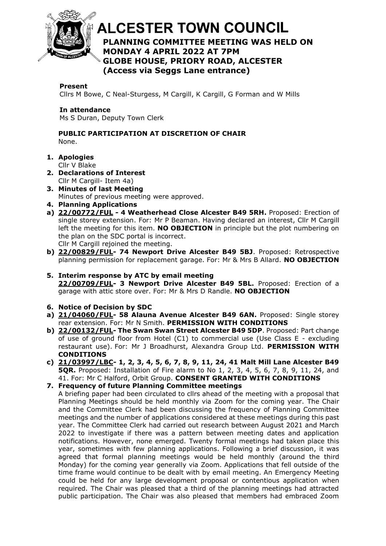

# **ALCESTER TOWN COUNCIL PLANNING COMMITTEE MEETING WAS HELD ON**  At the discretion of the Chair **MONDAY 4 APRIL 2022 AT 7PM GLOBE HOUSE, PRIORY ROAD, ALCESTER (Access via Seggs Lane entrance)**

#### **Present**

Cllrs M Bowe, C Neal-Sturgess, M Cargill, K Cargill, G Forman and W Mills

## **In attendance**

Ms S Duran, Deputy Town Clerk

## **PUBLIC PARTICIPATION AT DISCRETION OF CHAIR** None.

**1. Apologies**

Cllr V Blake

- **2. Declarations of Interest** Cllr M Cargill- Item 4a)
- **3. Minutes of last Meeting** Minutes of previous meeting were approved.
- **4. Planning Applications**
- **a) [22/00772/FUL](https://apps.stratford.gov.uk/eplanning/AppDetail.aspx?appkey=R8Q93HPMLNO00) - 4 Weatherhead Close Alcester B49 5RH.** Proposed: Erection of single storey extension. For: Mr P Beaman. Having declared an interest, Cllr M Cargill left the meeting for this item. **NO OBJECTION** in principle but the plot numbering on the plan on the SDC portal is incorrect. Cllr M Cargill rejoined the meeting.
- **b) [22/00829/FUL-](https://apps.stratford.gov.uk/eplanning/AppDetail.aspx?appkey=R8W4AJPMFNQ00) 74 Newport Drive Alcester B49 5BJ**. Proposed: Retrospective planning permission for replacement garage. For: Mr & Mrs B Allard. **NO OBJECTION**
- **5. Interim response by ATC by email meeting [22/00709/FUL-](https://apps.stratford.gov.uk/eplanning/AppDetail.aspx?appkey=R8FAKIPMJMQ00) 3 Newport Drive Alcester B49 5BL.** Proposed: Erection of a garage with attic store over. For: Mr & Mrs D Randle. **NO OBJECTION**

## **6. Notice of Decision by SDC**

- **a) [21/04060/FUL-](https://apps.stratford.gov.uk/eplanning/AppDetail.aspx?appkey=R4IY4DPMG4400) 58 Alauna Avenue Alcester B49 6AN.** Proposed: Single storey rear extension. For: Mr N Smith. **PERMISSION WITH CONDITIONS**
- **b) [22/00132/FUL-](https://apps.stratford.gov.uk/eplanning/AppDetail.aspx?appkey=R5PDM6PMG3800) The Swan Swan Street Alcester B49 5DP**. Proposed: Part change of use of ground floor from Hotel  $(C1)$  to commercial use (Use Class E - excluding restaurant use). For: Mr J Broadhurst, Alexandra Group Ltd. **PERMISSION WITH CONDITIONS**
- **c) [21/03997/LBC-](https://apps.stratford.gov.uk/eplanning/AppDetail.aspx?appkey=R4952JPMMAW00) 1, 2, 3, 4, 5, 6, 7, 8, 9, 11, 24, 41 Malt Mill Lane Alcester B49 5QR.** Proposed: Installation of Fire alarm to No 1, 2, 3, 4, 5, 6, 7, 8, 9, 11, 24, and 41. For: Mr C Halford, Orbit Group. **CONSENT GRANTED WITH CONDITIONS**

# **7. Frequency of future Planning Committee meetings**

A briefing paper had been circulated to cllrs ahead of the meeting with a proposal that Planning Meetings should be held monthly via Zoom for the coming year. The Chair and the Committee Clerk had been discussing the frequency of Planning Committee meetings and the number of applications considered at these meetings during this past year. The Committee Clerk had carried out research between August 2021 and March 2022 to investigate if there was a pattern between meeting dates and application notifications. However, none emerged. Twenty formal meetings had taken place this year, sometimes with few planning applications. Following a brief discussion, it was agreed that formal planning meetings would be held monthly (around the third Monday) for the coming year generally via Zoom. Applications that fell outside of the time frame would continue to be dealt with by email meeting. An Emergency Meeting could be held for any large development proposal or contentious application when required. The Chair was pleased that a third of the planning meetings had attracted public participation. The Chair was also pleased that members had embraced Zoom